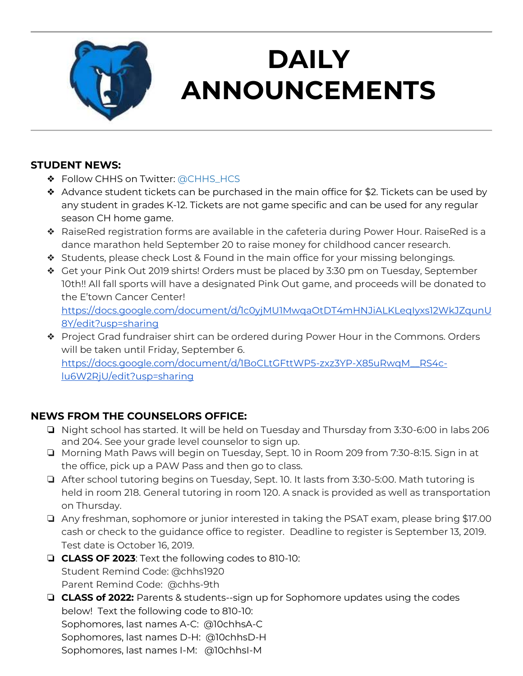

# **DAILY ANNOUNCEMENTS**

**September 4, 2019** 

### **STUDENT NEWS:**

- ❖ Follow CHHS on Twitter: [@CHHS\\_HCS](https://twitter.com/CHHS_HCS)
- ◆ Advance student tickets can be purchased in the main office for \$2. Tickets can be used by any student in grades K-12. Tickets are not game specific and can be used for any regular season CH home game.
- ❖ RaiseRed registration forms are available in the cafeteria during Power Hour. RaiseRed is a dance marathon held September 20 to raise money for childhood cancer research.
- ❖ Students, please check Lost & Found in the main office for your missing belongings.
- ❖ Get your Pink Out 2019 shirts! Orders must be placed by 3:30 pm on Tuesday, September 10th!! All fall sports will have a designated Pink Out game, and proceeds will be donated to the E'town Cancer Center! [https://docs.google.com/document/d/1c0yjMU1MwqaOtDT4mHNJiALKLeqIyxs12WkJZqunU](https://docs.google.com/document/d/1c0yjMU1MwqaOtDT4mHNJiALKLeqIyxs12WkJZqunU8Y/edit?usp=sharing) [8Y/edit?usp=sharing](https://docs.google.com/document/d/1c0yjMU1MwqaOtDT4mHNJiALKLeqIyxs12WkJZqunU8Y/edit?usp=sharing)
- ❖ Project Grad fundraiser shirt can be ordered during Power Hour in the Commons. Orders will be taken until Friday, September 6. [https://docs.google.com/document/d/1BoCLtGFttWP5-zxz3YP-X85uRwqM\\_\\_RS4c](https://docs.google.com/document/d/1BoCLtGFttWP5-zxz3YP-X85uRwqM__RS4c-lu6W2RjU/edit?usp=sharing)[lu6W2RjU/edit?usp=sharing](https://docs.google.com/document/d/1BoCLtGFttWP5-zxz3YP-X85uRwqM__RS4c-lu6W2RjU/edit?usp=sharing)

### **NEWS FROM THE COUNSELORS OFFICE:**

- ❏ Night school has started. It will be held on Tuesday and Thursday from 3:30-6:00 in labs 206 and 204. See your grade level counselor to sign up.
- ❏ Morning Math Paws will begin on Tuesday, Sept. 10 in Room 209 from 7:30-8:15. Sign in at the office, pick up a PAW Pass and then go to class.
- ❏ After school tutoring begins on Tuesday, Sept. 10. It lasts from 3:30-5:00. Math tutoring is held in room 218. General tutoring in room 120. A snack is provided as well as transportation on Thursday.
- ❏ Any freshman, sophomore or junior interested in taking the PSAT exam, please bring \$17.00 cash or check to the guidance office to register. Deadline to register is September 13, 2019. Test date is October 16, 2019.
- ❏ **CLASS OF 2023**: Text the following codes to 810-10: Student Remind Code: @chhs1920 Parent Remind Code: @chhs-9th
- ❏ **CLASS of 2022:** Parents & students--sign up for Sophomore updates using the codes below! Text the following code to 810-10: Sophomores, last names A-C: @10chhsA-C Sophomores, last names D-H: @10chhsD-H Sophomores, last names I-M: @10chhsI-M